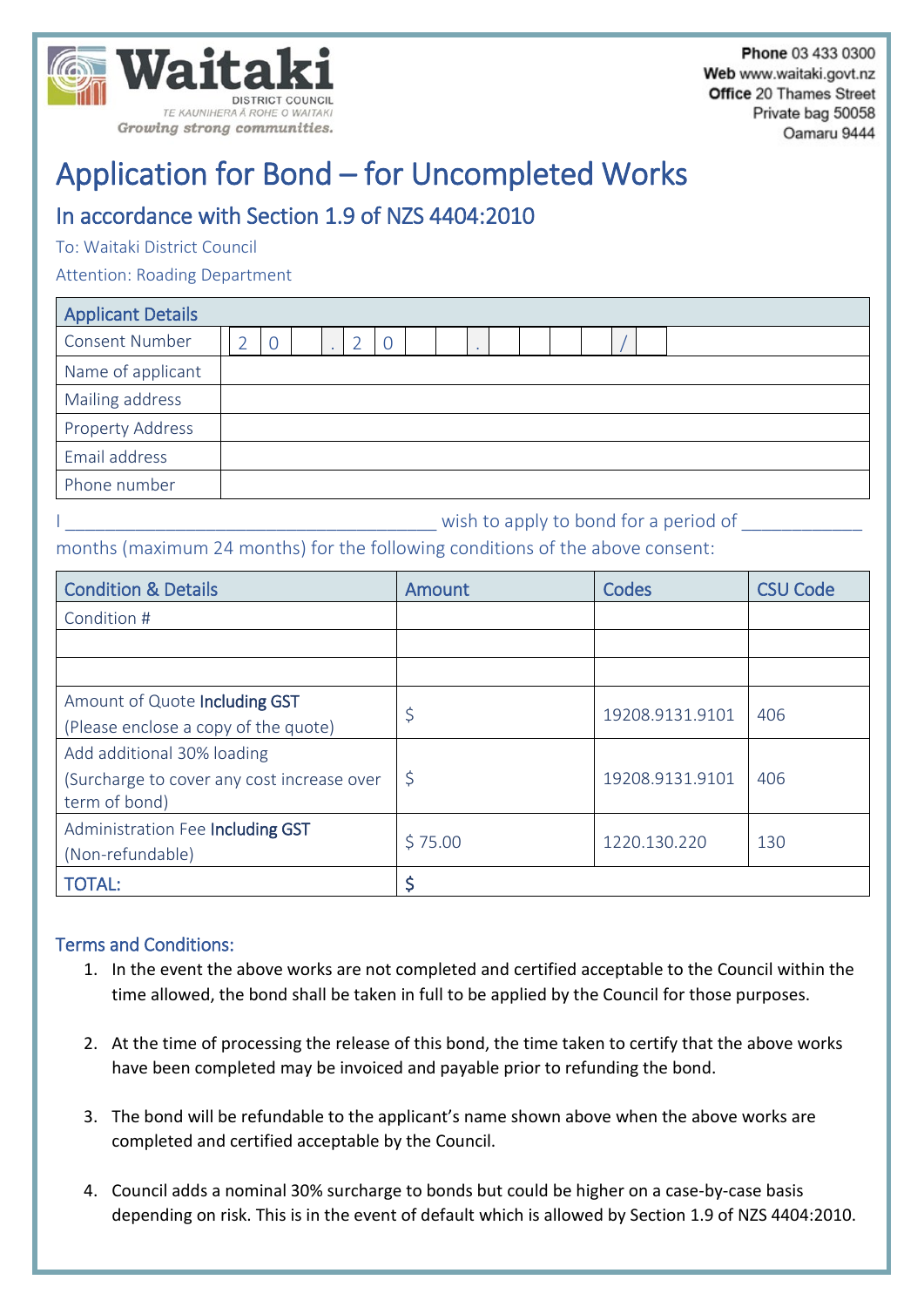

# Application for Bond – for Uncompleted Works

## In accordance with Section 1.9 of NZS 4404:2010

To: Waitaki District Council

Attention: Roading Department

| <b>Applicant Details</b> |  |  |  |  |  |  |  |  |  |  |  |
|--------------------------|--|--|--|--|--|--|--|--|--|--|--|
| <b>Consent Number</b>    |  |  |  |  |  |  |  |  |  |  |  |
| Name of applicant        |  |  |  |  |  |  |  |  |  |  |  |
| Mailing address          |  |  |  |  |  |  |  |  |  |  |  |
| <b>Property Address</b>  |  |  |  |  |  |  |  |  |  |  |  |
| Email address            |  |  |  |  |  |  |  |  |  |  |  |
| Phone number             |  |  |  |  |  |  |  |  |  |  |  |

I wish to apply to bond for a period of months (maximum 24 months) for the following conditions of the above consent:

| <b>Condition &amp; Details</b>                                                            | Amount      | Codes           | <b>CSU Code</b> |
|-------------------------------------------------------------------------------------------|-------------|-----------------|-----------------|
| Condition #                                                                               |             |                 |                 |
|                                                                                           |             |                 |                 |
|                                                                                           |             |                 |                 |
| Amount of Quote Including GST<br>(Please enclose a copy of the quote)                     | \$          | 19208.9131.9101 | 406             |
| Add additional 30% loading<br>(Surcharge to cover any cost increase over<br>term of bond) | $\varsigma$ | 19208.9131.9101 | 406             |
| Administration Fee Including GST<br>(Non-refundable)                                      | \$75.00     | 1220.130.220    | 130             |
| <b>TOTAL:</b>                                                                             | \$          |                 |                 |

#### Terms and Conditions:

- 1. In the event the above works are not completed and certified acceptable to the Council within the time allowed, the bond shall be taken in full to be applied by the Council for those purposes.
- 2. At the time of processing the release of this bond, the time taken to certify that the above works have been completed may be invoiced and payable prior to refunding the bond.
- 3. The bond will be refundable to the applicant's name shown above when the above works are completed and certified acceptable by the Council.
- 4. Council adds a nominal 30% surcharge to bonds but could be higher on a case-by-case basis depending on risk. This is in the event of default which is allowed by Section 1.9 of NZS 4404:2010.